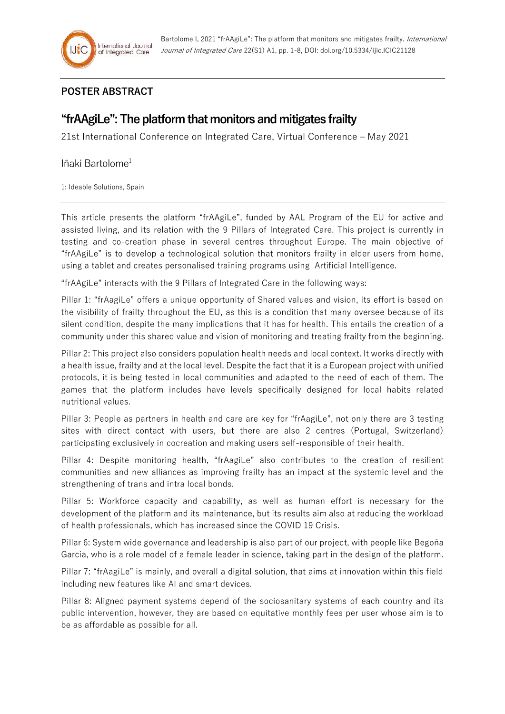## **POSTER ABSTRACT**

## **"frAAgiLe": The platform that monitors and mitigates frailty**

21st International Conference on Integrated Care, Virtual Conference – May 2021

## Iñaki Bartolome<sup>1</sup>

1: Ideable Solutions, Spain

This article presents the platform "frAAgiLe", funded by AAL Program of the EU for active and assisted living, and its relation with the 9 Pillars of Integrated Care. This project is currently in testing and co-creation phase in several centres throughout Europe. The main objective of "frAAgiLe" is to develop a technological solution that monitors frailty in elder users from home, using a tablet and creates personalised training programs using Artificial Intelligence.

"frAAgiLe" interacts with the 9 Pillars of Integrated Care in the following ways:

Pillar 1: "frAagiLe" offers a unique opportunity of Shared values and vision, its effort is based on the visibility of frailty throughout the EU, as this is a condition that many oversee because of its silent condition, despite the many implications that it has for health. This entails the creation of a community under this shared value and vision of monitoring and treating frailty from the beginning.

Pillar 2: This project also considers population health needs and local context. It works directly with a health issue, frailty and at the local level. Despite the fact that it is a European project with unified protocols, it is being tested in local communities and adapted to the need of each of them. The games that the platform includes have levels specifically designed for local habits related nutritional values.

Pillar 3: People as partners in health and care are key for "frAagiLe", not only there are 3 testing sites with direct contact with users, but there are also 2 centres (Portugal, Switzerland) participating exclusively in cocreation and making users self-responsible of their health.

Pillar 4: Despite monitoring health, "frAagiLe" also contributes to the creation of resilient communities and new alliances as improving frailty has an impact at the systemic level and the strengthening of trans and intra local bonds.

Pillar 5: Workforce capacity and capability, as well as human effort is necessary for the development of the platform and its maintenance, but its results aim also at reducing the workload of health professionals, which has increased since the COVID 19 Crisis.

Pillar 6: System wide governance and leadership is also part of our project, with people like Begoña García, who is a role model of a female leader in science, taking part in the design of the platform.

Pillar 7: "frAagiLe" is mainly, and overall a digital solution, that aims at innovation within this field including new features like AI and smart devices.

Pillar 8: Aligned payment systems depend of the sociosanitary systems of each country and its public intervention, however, they are based on equitative monthly fees per user whose aim is to be as affordable as possible for all.